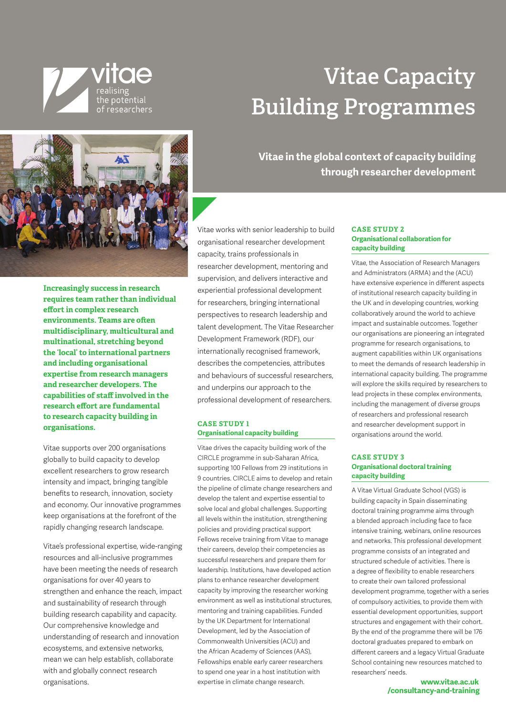

# **Vitae Capacity Building Programmes**



**Increasingly success in research requires team rather than individual effort in complex research environments. Teams are often multidisciplinary, multicultural and multinational, stretching beyond the 'local' to international partners and including organisational expertise from research managers and researcher developers. The capabilities of staff involved in the research effort are fundamental to research capacity building in organisations.**

Vitae supports over 200 organisations globally to build capacity to develop excellent researchers to grow research intensity and impact, bringing tangible benefits to research, innovation, society and economy. Our innovative programmes keep organisations at the forefront of the rapidly changing research landscape.

Vitae's professional expertise, wide-ranging resources and all-inclusive programmes have been meeting the needs of research organisations for over 40 years to strengthen and enhance the reach, impact and sustainability of research through building research capability and capacity. Our comprehensive knowledge and understanding of research and innovation ecosystems, and extensive networks, mean we can help establish, collaborate with and globally connect research organisations.

**Vitae in the global context of capacity building through researcher development**

Vitae works with senior leadership to build organisational researcher development capacity, trains professionals in researcher development, mentoring and supervision, and delivers interactive and experiential professional development for researchers, bringing international perspectives to research leadership and talent development. The Vitae Researcher Development Framework (RDF), our internationally recognised framework, describes the competencies, attributes and behaviours of successful researchers, and underpins our approach to the professional development of researchers.

#### **CASE STUDY 1 Organisational capacity building**

Vitae drives the capacity building work of the CIRCLE programme in sub-Saharan Africa, supporting 100 Fellows from 29 institutions in 9 countries. CIRCLE aims to develop and retain the pipeline of climate change researchers and develop the talent and expertise essential to solve local and global challenges. Supporting all levels within the institution, strengthening policies and providing practical support Fellows receive training from Vitae to manage their careers, develop their competencies as successful researchers and prepare them for leadership. Institutions, have developed action plans to enhance researcher development capacity by improving the researcher working environment as well as institutional structures, mentoring and training capabilities. Funded by the UK Department for International Development, led by the Association of Commonwealth Universities (ACU) and the African Academy of Sciences (AAS), Fellowships enable early career researchers to spend one year in a host institution with expertise in climate change research.

## **CASE STUDY 2 Organisational collaboration for capacity building**

Vitae, the Association of Research Managers and Administrators (ARMA) and the (ACU) have extensive experience in different aspects of institutional research capacity building in the UK and in developing countries, working collaboratively around the world to achieve impact and sustainable outcomes. Together our organisations are pioneering an integrated programme for research organisations, to augment capabilities within UK organisations to meet the demands of research leadership in international capacity building. The programme will explore the skills required by researchers to lead projects in these complex environments, including the management of diverse groups of researchers and professional research and researcher development support in organisations around the world.

### **CASE STUDY 3 Organisational doctoral training capacity building**

A Vitae Virtual Graduate School (VGS) is building capacity in Spain disseminating doctoral training programme aims through a blended approach including face to face intensive training, webinars, online resources and networks. This professional development programme consists of an integrated and structured schedule of activities. There is a degree of flexibility to enable researchers to create their own tailored professional development programme, together with a series of compulsory activities, to provide them with essential development opportunities, support structures and engagement with their cohort. By the end of the programme there will be 176 doctoral graduates prepared to embark on different careers and a legacy Virtual Graduate School containing new resources matched to researchers' needs.

> **www.vitae.ac.uk /consultancy-and-training**